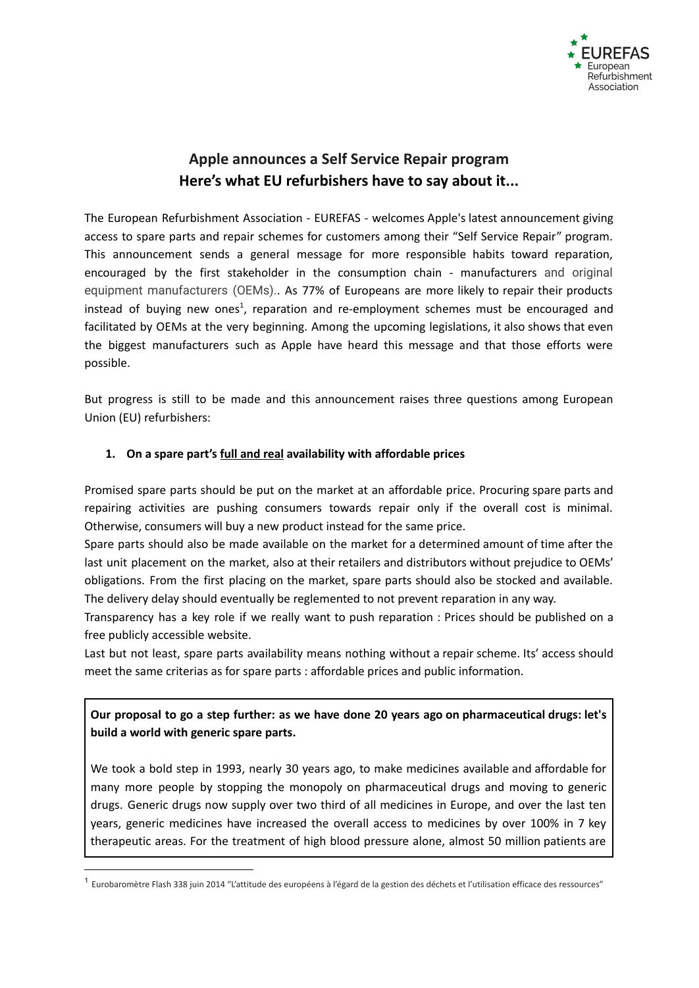

# **Apple announces a Self Service Repair program Here's what EU refurbishers have to say about it...**

The European Refurbishment Association - EUREFAS - welcomes Apple's latest announcement giving access to spare parts and repair schemes for customers among their "Self Service Repair" program. This announcement sends a general message for more responsible habits toward reparation, encouraged by the first stakeholder in the consumption chain - manufacturers and original equipment manufacturers (OEMs).. As 77% of Europeans are more likely to repair their products instead of buying new ones<sup>1</sup>, reparation and re-employment schemes must be encouraged and facilitated by OEMs at the very beginning. Among the upcoming legislations, it also shows that even the biggest manufacturers such as Apple have heard this message and that those efforts were possible.

But progress is still to be made and this announcement raises three questions among European Union (EU) refurbishers:

## **1. On a spare part's full and real availability with affordable prices**

Promised spare parts should be put on the market at an affordable price. Procuring spare parts and repairing activities are pushing consumers towards repair only if the overall cost is minimal. Otherwise, consumers will buy a new product instead for the same price.

Spare parts should also be made available on the market for a determined amount of time after the last unit placement on the market, also at their retailers and distributors without prejudice to OEMs' obligations. From the first placing on the market, spare parts should also be stocked and available. The delivery delay should eventually be reglemented to not prevent reparation in any way.

Transparency has a key role if we really want to push reparation : Prices should be published on a free publicly accessible website.

Last but not least, spare parts availability means nothing without a repair scheme. Its' access should meet the same criterias as for spare parts : affordable prices and public information.

## **Our proposal to go a step further: as we have done 20 years ago on pharmaceutical drugs: let's build a world with generic spare parts.**

We took a bold step in 1993, nearly 30 years ago, to make medicines available and affordable for many more people by stopping the monopoly on pharmaceutical drugs and moving to generic drugs. Generic drugs now supply over two third of all medicines in Europe, and over the last ten years, generic medicines have increased the overall access to medicines by over 100% in 7 key therapeutic areas. For the treatment of high blood pressure alone, almost 50 million patients are

<sup>&</sup>lt;sup>1</sup> Eurobaromètre Flash 338 juin 2014 "L'attitude des européens à l'égard de la gestion des déchets et l'utilisation efficace des ressources"